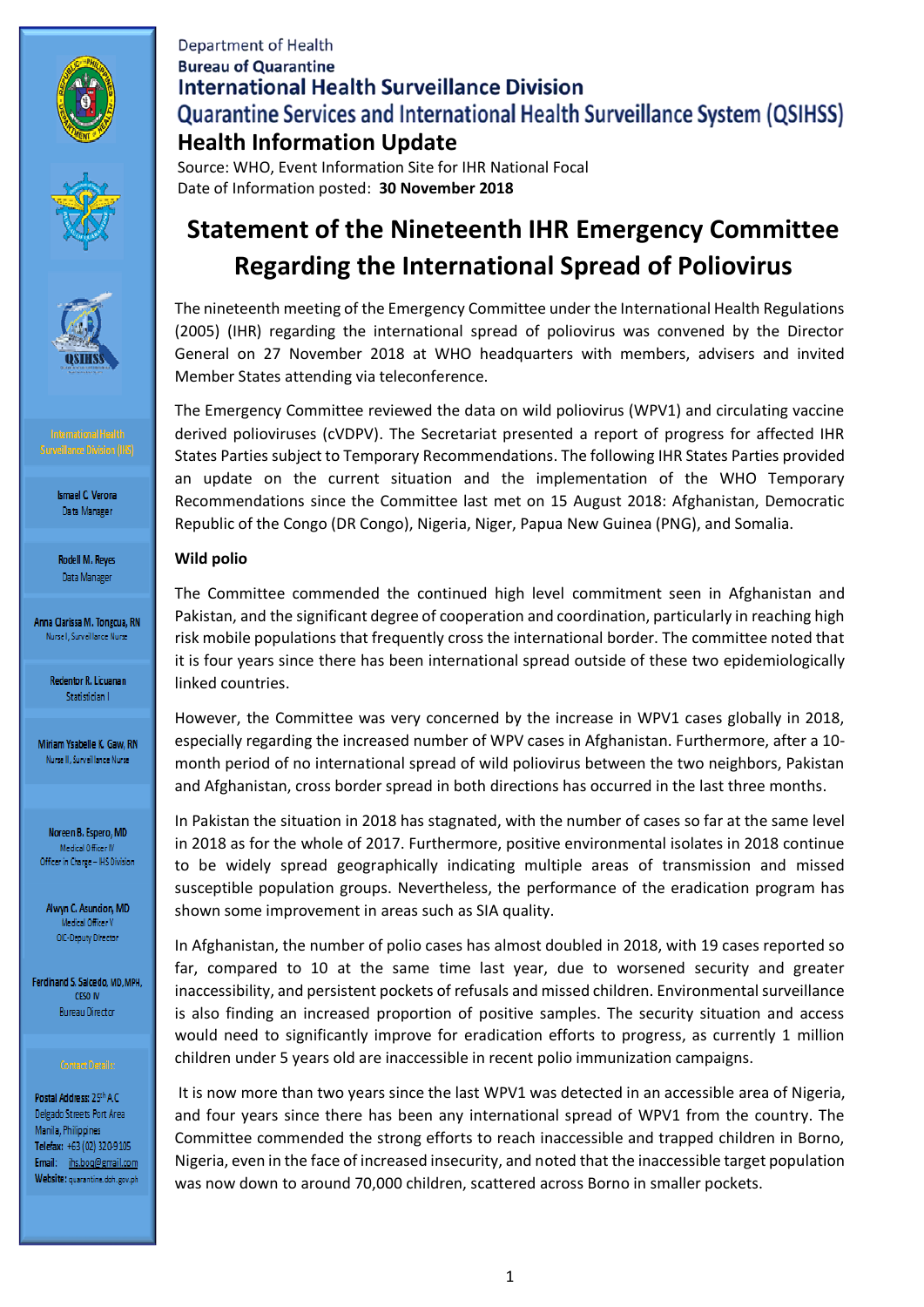





Rodell M. Reyes Data Manager

Anna Clarissa M. Tongcua, RN Nurse I, Surveillance Nurse

> **Redentor R. Licuanan** Statistician I

Miriam Ysabelle K. Gaw, RN Nurse II, Surveillance Nurse

Noreen B. Espero, MD Medical Officer IV Officer in Charge - IHS Division

Alwyn C. Asuncion, MD Medical Officer V OIC-Deputy Director

Ferdinand S. Salcedo, MD, MPH, CESO IV **Bureau Director** 

Postal Address: 25th A.C. Delgado Streets Port Area Manila, Philippines Telefax: +63 (02) 320-9105 Email: ihs.boq@gmail.com Website: quarantine.doh.gov.ph

# **Department of Health Bureau of Quarantine International Health Surveillance Division Quarantine Services and International Health Surveillance System (QSIHSS) Health Information Update**

Source: WHO, Event Information Site for IHR National Focal Date of Information posted: **30 November 2018**

# **Statement of the Nineteenth IHR Emergency Committee Regarding the International Spread of Poliovirus**

The nineteenth meeting of the Emergency Committee under the International Health Regulations (2005) (IHR) regarding the international spread of poliovirus was convened by the Director General on 27 November 2018 at WHO headquarters with members, advisers and invited Member States attending via teleconference.

The Emergency Committee reviewed the data on wild poliovirus (WPV1) and circulating vaccine derived polioviruses (cVDPV). The Secretariat presented a report of progress for affected IHR States Parties subject to Temporary Recommendations. The following IHR States Parties provided an update on the current situation and the implementation of the WHO Temporary Recommendations since the Committee last met on 15 August 2018: Afghanistan, Democratic Republic of the Congo (DR Congo), Nigeria, Niger, Papua New Guinea (PNG), and Somalia.

### **Wild polio**

The Committee commended the continued high level commitment seen in Afghanistan and Pakistan, and the significant degree of cooperation and coordination, particularly in reaching high risk mobile populations that frequently cross the international border. The committee noted that it is four years since there has been international spread outside of these two epidemiologically linked countries.

However, the Committee was very concerned by the increase in WPV1 cases globally in 2018, especially regarding the increased number of WPV cases in Afghanistan. Furthermore, after a 10 month period of no international spread of wild poliovirus between the two neighbors, Pakistan and Afghanistan, cross border spread in both directions has occurred in the last three months.

In Pakistan the situation in 2018 has stagnated, with the number of cases so far at the same level in 2018 as for the whole of 2017. Furthermore, positive environmental isolates in 2018 continue to be widely spread geographically indicating multiple areas of transmission and missed susceptible population groups. Nevertheless, the performance of the eradication program has shown some improvement in areas such as SIA quality.

In Afghanistan, the number of polio cases has almost doubled in 2018, with 19 cases reported so far, compared to 10 at the same time last year, due to worsened security and greater inaccessibility, and persistent pockets of refusals and missed children. Environmental surveillance is also finding an increased proportion of positive samples. The security situation and access would need to significantly improve for eradication efforts to progress, as currently 1 million children under 5 years old are inaccessible in recent polio immunization campaigns.

It is now more than two years since the last WPV1 was detected in an accessible area of Nigeria, and four years since there has been any international spread of WPV1 from the country. The Committee commended the strong efforts to reach inaccessible and trapped children in Borno, Nigeria, even in the face of increased insecurity, and noted that the inaccessible target population was now down to around 70,000 children, scattered across Borno in smaller pockets.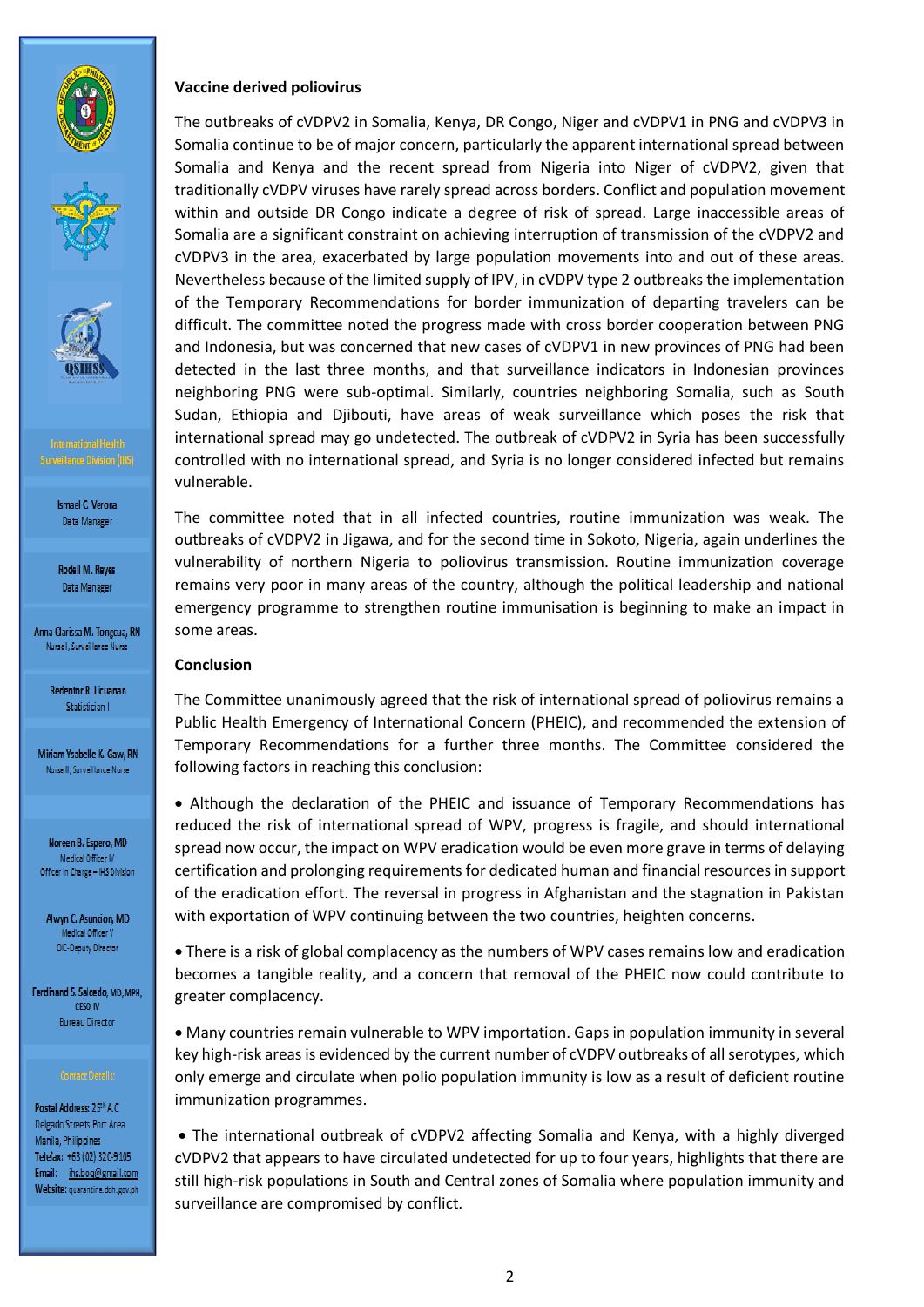



Rodell M. Reyes Data Manager

Anna Clarissa M. Tongcua, RN Nursel, Surveillance Nurse

> **Redentor R. Licuanan** Statistician I

Miriam Ysabelle K, Gaw, RN Nurse II, Surveillance Nurse

Noreen B. Espero, MD Medical Officer IV Officer in Charge - IHS Division

Alwyn C. Asuncion, MD Medical Officer V OIC-Deputy Director

Ferdinand S. Salcedo, MD, MPH,  $CESO$   $N$ **Bureau Director** 

Postal Address: 25th A.C. Delgado Streets Port Area Manila, Philippines Telefax: +63 (02) 320-9105 Email: ihs.boq@gmail.com Website: quarantine.doh.gov.ph

### **Vaccine derived poliovirus**

The outbreaks of cVDPV2 in Somalia, Kenya, DR Congo, Niger and cVDPV1 in PNG and cVDPV3 in Somalia continue to be of major concern, particularly the apparent international spread between Somalia and Kenya and the recent spread from Nigeria into Niger of cVDPV2, given that traditionally cVDPV viruses have rarely spread across borders. Conflict and population movement within and outside DR Congo indicate a degree of risk of spread. Large inaccessible areas of Somalia are a significant constraint on achieving interruption of transmission of the cVDPV2 and cVDPV3 in the area, exacerbated by large population movements into and out of these areas. Nevertheless because of the limited supply of IPV, in cVDPV type 2 outbreaks the implementation of the Temporary Recommendations for border immunization of departing travelers can be difficult. The committee noted the progress made with cross border cooperation between PNG and Indonesia, but was concerned that new cases of cVDPV1 in new provinces of PNG had been detected in the last three months, and that surveillance indicators in Indonesian provinces neighboring PNG were sub-optimal. Similarly, countries neighboring Somalia, such as South Sudan, Ethiopia and Djibouti, have areas of weak surveillance which poses the risk that international spread may go undetected. The outbreak of cVDPV2 in Syria has been successfully controlled with no international spread, and Syria is no longer considered infected but remains vulnerable.

The committee noted that in all infected countries, routine immunization was weak. The outbreaks of cVDPV2 in Jigawa, and for the second time in Sokoto, Nigeria, again underlines the vulnerability of northern Nigeria to poliovirus transmission. Routine immunization coverage remains very poor in many areas of the country, although the political leadership and national emergency programme to strengthen routine immunisation is beginning to make an impact in some areas.

### **Conclusion**

The Committee unanimously agreed that the risk of international spread of poliovirus remains a Public Health Emergency of International Concern (PHEIC), and recommended the extension of Temporary Recommendations for a further three months. The Committee considered the following factors in reaching this conclusion:

 Although the declaration of the PHEIC and issuance of Temporary Recommendations has reduced the risk of international spread of WPV, progress is fragile, and should international spread now occur, the impact on WPV eradication would be even more grave in terms of delaying certification and prolonging requirements for dedicated human and financial resources in support of the eradication effort. The reversal in progress in Afghanistan and the stagnation in Pakistan with exportation of WPV continuing between the two countries, heighten concerns.

 There is a risk of global complacency as the numbers of WPV cases remains low and eradication becomes a tangible reality, and a concern that removal of the PHEIC now could contribute to greater complacency.

 Many countries remain vulnerable to WPV importation. Gaps in population immunity in several key high-risk areas is evidenced by the current number of cVDPV outbreaks of all serotypes, which only emerge and circulate when polio population immunity is low as a result of deficient routine immunization programmes.

 The international outbreak of cVDPV2 affecting Somalia and Kenya, with a highly diverged cVDPV2 that appears to have circulated undetected for up to four years, highlights that there are still high-risk populations in South and Central zones of Somalia where population immunity and surveillance are compromised by conflict.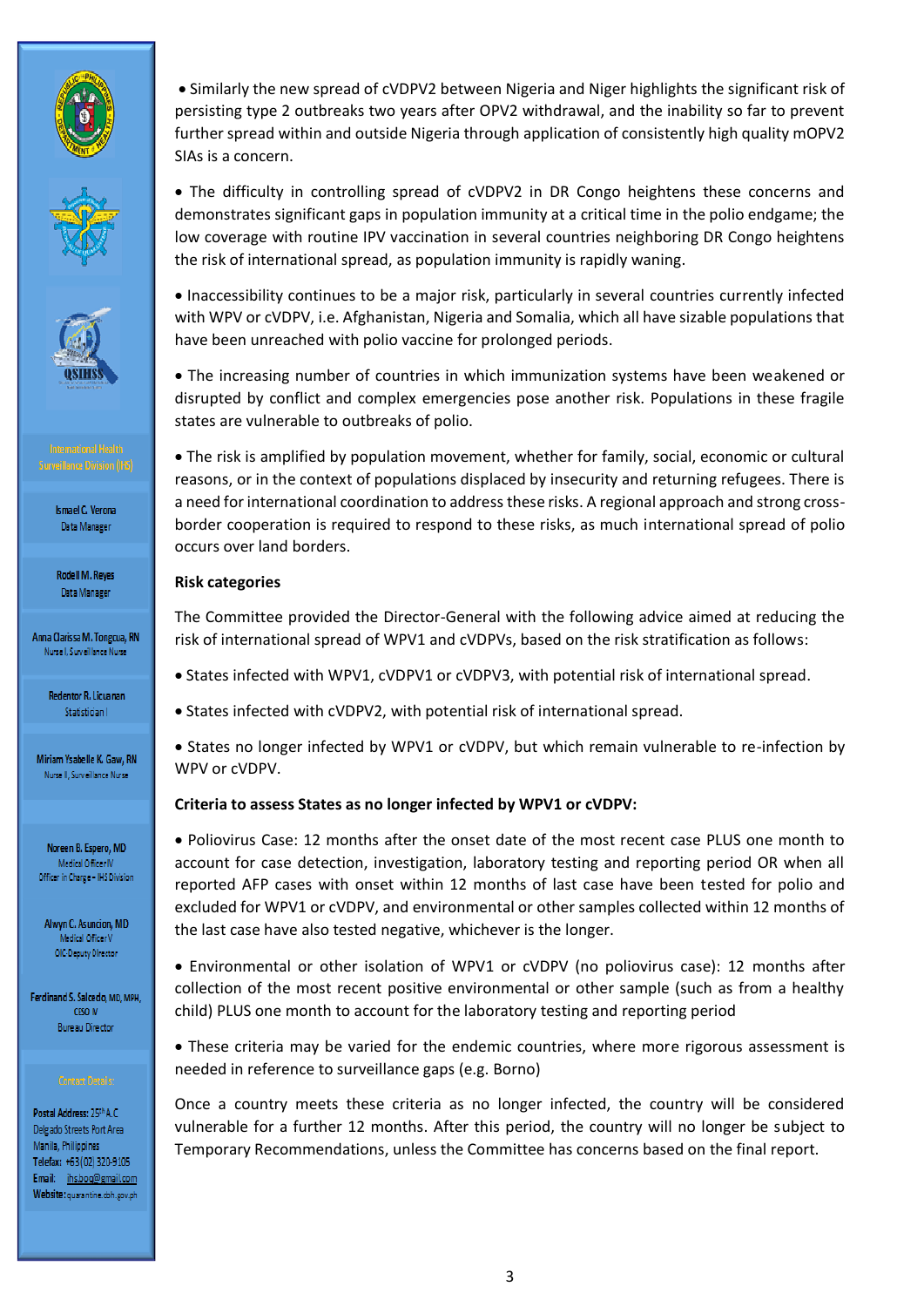





Rodell M. Reyes Data Manager

Anna Clarissa M. Tongcua, RN Nurse I, Surveillance Nurse

> Redentor R. Licuanan Statistician I

Miriam Ysabelle K, Gaw, RN Nurse II, Surveillance Nurse

Noreen B. Espero, MD Medical Officer IV Officer in Charge - IHS Division

Alwyn C. Asuncion, MD Medical Officer V OIC-Deputy Director

Ferdinand S. Salcedo, MD, MPH, CESO IV **Bureau Director** 

Postal Address: 25th A.C. Delgado Streets Port Area Manila, Philippines Telefax: +63 (02) 320-9105 Email: ihs.boq@gmail.com Website: quarantine.doh.gov.ph

 Similarly the new spread of cVDPV2 between Nigeria and Niger highlights the significant risk of persisting type 2 outbreaks two years after OPV2 withdrawal, and the inability so far to prevent further spread within and outside Nigeria through application of consistently high quality mOPV2 SIAs is a concern.

• The difficulty in controlling spread of cVDPV2 in DR Congo heightens these concerns and demonstrates significant gaps in population immunity at a critical time in the polio endgame; the low coverage with routine IPV vaccination in several countries neighboring DR Congo heightens the risk of international spread, as population immunity is rapidly waning.

 Inaccessibility continues to be a major risk, particularly in several countries currently infected with WPV or cVDPV, i.e. Afghanistan, Nigeria and Somalia, which all have sizable populations that have been unreached with polio vaccine for prolonged periods.

 The increasing number of countries in which immunization systems have been weakened or disrupted by conflict and complex emergencies pose another risk. Populations in these fragile states are vulnerable to outbreaks of polio.

 The risk is amplified by population movement, whether for family, social, economic or cultural reasons, or in the context of populations displaced by insecurity and returning refugees. There is a need for international coordination to address these risks. A regional approach and strong crossborder cooperation is required to respond to these risks, as much international spread of polio occurs over land borders.

### **Risk categories**

The Committee provided the Director-General with the following advice aimed at reducing the risk of international spread of WPV1 and cVDPVs, based on the risk stratification as follows:

- States infected with WPV1, cVDPV1 or cVDPV3, with potential risk of international spread.
- States infected with cVDPV2, with potential risk of international spread.

 States no longer infected by WPV1 or cVDPV, but which remain vulnerable to re-infection by WPV or cVDPV.

### **Criteria to assess States as no longer infected by WPV1 or cVDPV:**

 Poliovirus Case: 12 months after the onset date of the most recent case PLUS one month to account for case detection, investigation, laboratory testing and reporting period OR when all reported AFP cases with onset within 12 months of last case have been tested for polio and excluded for WPV1 or cVDPV, and environmental or other samples collected within 12 months of the last case have also tested negative, whichever is the longer.

 Environmental or other isolation of WPV1 or cVDPV (no poliovirus case): 12 months after collection of the most recent positive environmental or other sample (such as from a healthy child) PLUS one month to account for the laboratory testing and reporting period

 These criteria may be varied for the endemic countries, where more rigorous assessment is needed in reference to surveillance gaps (e.g. Borno)

Once a country meets these criteria as no longer infected, the country will be considered vulnerable for a further 12 months. After this period, the country will no longer be subject to Temporary Recommendations, unless the Committee has concerns based on the final report.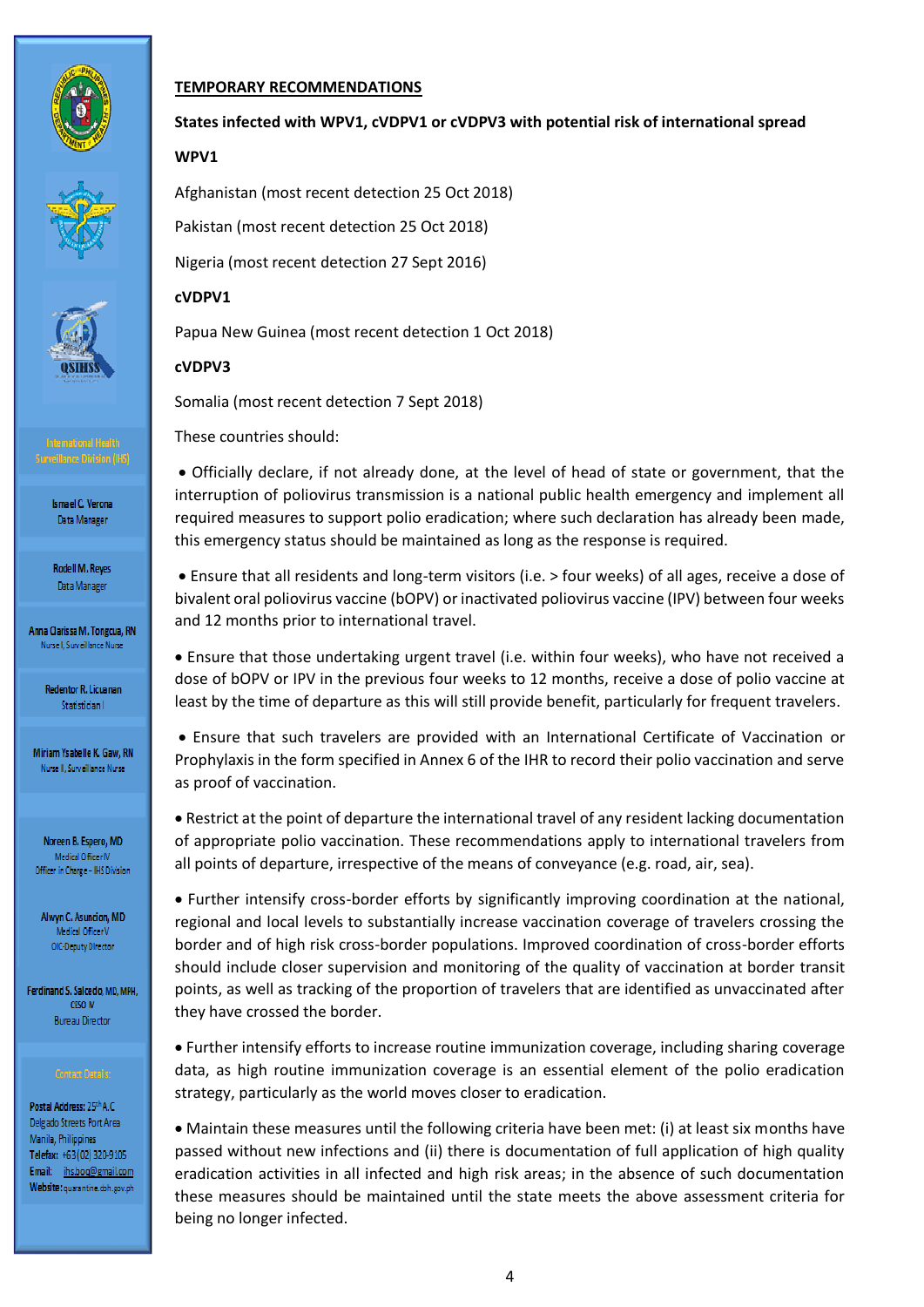





**Surveillance Division (IHS)** 

**Ismael C. Verona** Data Manager

Rodell M. Reyes Data Manager

Anna Clarissa M. Tongcua, RN Nurse I, Surveillance Nurse

> Redentor R. Licuanan Statistician I

Miriam Ysabelle K. Gaw, RN Nurse II, Surveillance Nurse

Noreen B. Espero, MD Medical Officer IV Officer in Charge - IHS Division

Alwyn C. Asuncion, MD Medical Officer V OIC-Deputy Director

Ferdinand S. Salcedo, MD, MPH, CESO IV **Bureau Director** 

Postal Address: 25th A.C. Delgado Streets Port Area Manila, Philippines Telefax: +63 (02) 320-9105 Email: ihs.boq@gmail.com Website: quarantine.doh.gov.ph

### **TEMPORARY RECOMMENDATIONS**

### **States infected with WPV1, cVDPV1 or cVDPV3 with potential risk of international spread**

**WPV1** 

Afghanistan (most recent detection 25 Oct 2018)

Pakistan (most recent detection 25 Oct 2018)

Nigeria (most recent detection 27 Sept 2016)

### **cVDPV1**

Papua New Guinea (most recent detection 1 Oct 2018)

### **cVDPV3**

Somalia (most recent detection 7 Sept 2018)

These countries should:

 Officially declare, if not already done, at the level of head of state or government, that the interruption of poliovirus transmission is a national public health emergency and implement all required measures to support polio eradication; where such declaration has already been made, this emergency status should be maintained as long as the response is required.

 Ensure that all residents and long-term visitors (i.e. > four weeks) of all ages, receive a dose of bivalent oral poliovirus vaccine (bOPV) or inactivated poliovirus vaccine (IPV) between four weeks and 12 months prior to international travel.

 Ensure that those undertaking urgent travel (i.e. within four weeks), who have not received a dose of bOPV or IPV in the previous four weeks to 12 months, receive a dose of polio vaccine at least by the time of departure as this will still provide benefit, particularly for frequent travelers.

 Ensure that such travelers are provided with an International Certificate of Vaccination or Prophylaxis in the form specified in Annex 6 of the IHR to record their polio vaccination and serve as proof of vaccination.

 Restrict at the point of departure the international travel of any resident lacking documentation of appropriate polio vaccination. These recommendations apply to international travelers from all points of departure, irrespective of the means of conveyance (e.g. road, air, sea).

 Further intensify cross-border efforts by significantly improving coordination at the national, regional and local levels to substantially increase vaccination coverage of travelers crossing the border and of high risk cross-border populations. Improved coordination of cross-border efforts should include closer supervision and monitoring of the quality of vaccination at border transit points, as well as tracking of the proportion of travelers that are identified as unvaccinated after they have crossed the border.

 Further intensify efforts to increase routine immunization coverage, including sharing coverage data, as high routine immunization coverage is an essential element of the polio eradication strategy, particularly as the world moves closer to eradication.

 Maintain these measures until the following criteria have been met: (i) at least six months have passed without new infections and (ii) there is documentation of full application of high quality eradication activities in all infected and high risk areas; in the absence of such documentation these measures should be maintained until the state meets the above assessment criteria for being no longer infected.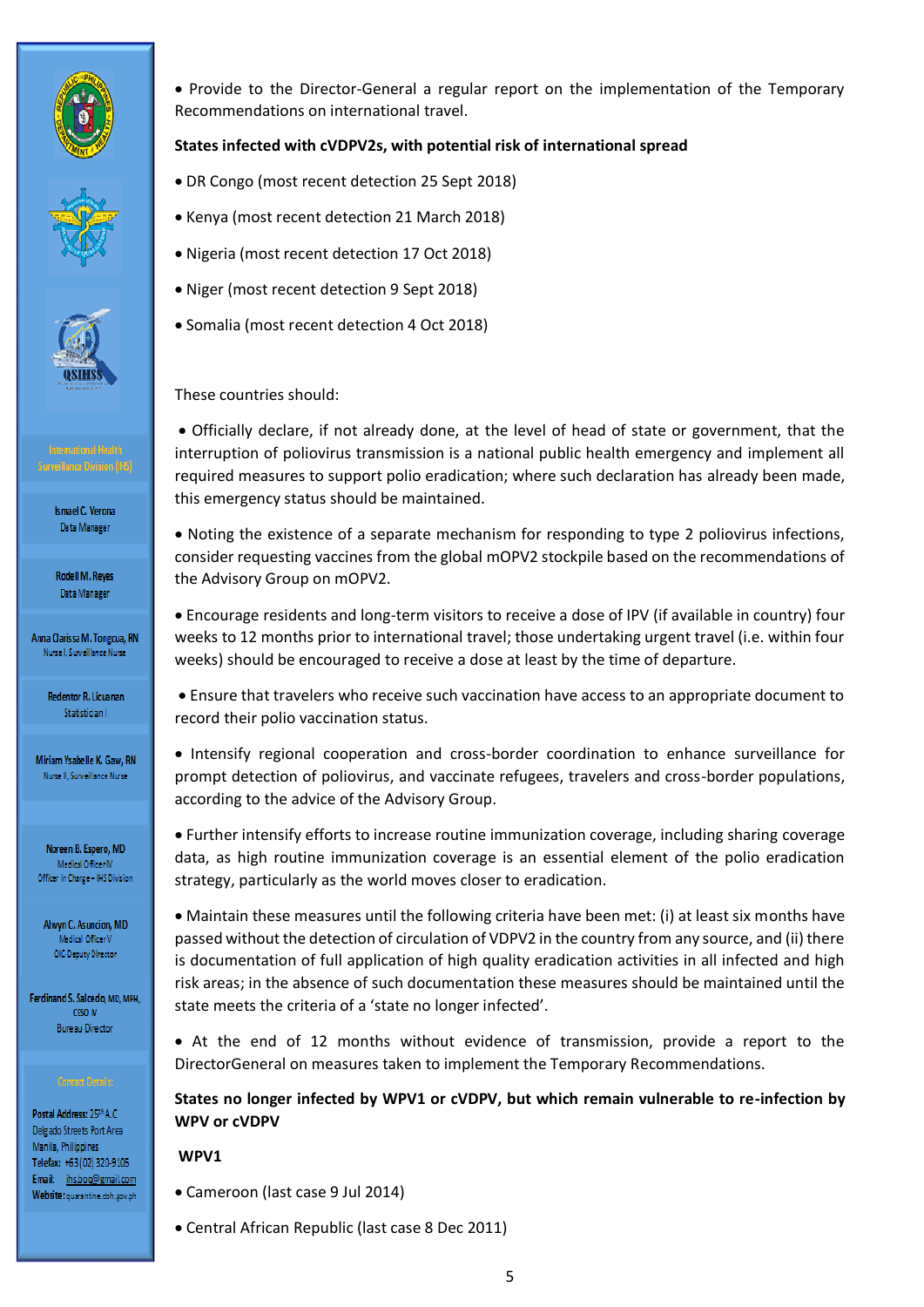





Rodell M. Reyes Data Manager

Anna Clarissa M. Tongcua, RN Nursel, Surveillance Nurse

> Redentor R. Licuanan Statistician I

Miriam Ysabelle K, Gaw, RN Nurse II, Surveillance Nurse

Noreen B. Espero, MD Medical Officer IV Officer in Charge - IHS Division

Alwyn C. Asuncion, MD Medical Officer V OIC-Deputy Director

Ferdinand S. Salcedo, MD, MPH, CESO IV **Bureau Director** 

Postal Address: 25th A.C. Delgado Streets Port Area Manila, Philippines Telefax: +63 (02) 320-9105 Email: ihs.boq@gmail.com Website: quarantine.doh.gov.ph • Provide to the Director-General a regular report on the implementation of the Temporary Recommendations on international travel.

# **States infected with cVDPV2s, with potential risk of international spread**

- DR Congo (most recent detection 25 Sept 2018)
- Kenya (most recent detection 21 March 2018)
- Nigeria (most recent detection 17 Oct 2018)
- Niger (most recent detection 9 Sept 2018)
- Somalia (most recent detection 4 Oct 2018)

These countries should:

 Officially declare, if not already done, at the level of head of state or government, that the interruption of poliovirus transmission is a national public health emergency and implement all required measures to support polio eradication; where such declaration has already been made, this emergency status should be maintained.

 Noting the existence of a separate mechanism for responding to type 2 poliovirus infections, consider requesting vaccines from the global mOPV2 stockpile based on the recommendations of the Advisory Group on mOPV2.

 Encourage residents and long-term visitors to receive a dose of IPV (if available in country) four weeks to 12 months prior to international travel; those undertaking urgent travel (i.e. within four weeks) should be encouraged to receive a dose at least by the time of departure.

 Ensure that travelers who receive such vaccination have access to an appropriate document to record their polio vaccination status.

• Intensify regional cooperation and cross-border coordination to enhance surveillance for prompt detection of poliovirus, and vaccinate refugees, travelers and cross-border populations, according to the advice of the Advisory Group.

 Further intensify efforts to increase routine immunization coverage, including sharing coverage data, as high routine immunization coverage is an essential element of the polio eradication strategy, particularly as the world moves closer to eradication.

 Maintain these measures until the following criteria have been met: (i) at least six months have passed without the detection of circulation of VDPV2 in the country from any source, and (ii) there is documentation of full application of high quality eradication activities in all infected and high risk areas; in the absence of such documentation these measures should be maintained until the state meets the criteria of a 'state no longer infected'.

 At the end of 12 months without evidence of transmission, provide a report to the DirectorGeneral on measures taken to implement the Temporary Recommendations.

**States no longer infected by WPV1 or cVDPV, but which remain vulnerable to re-infection by WPV or cVDPV**

**WPV1** 

- Cameroon (last case 9 Jul 2014)
- Central African Republic (last case 8 Dec 2011)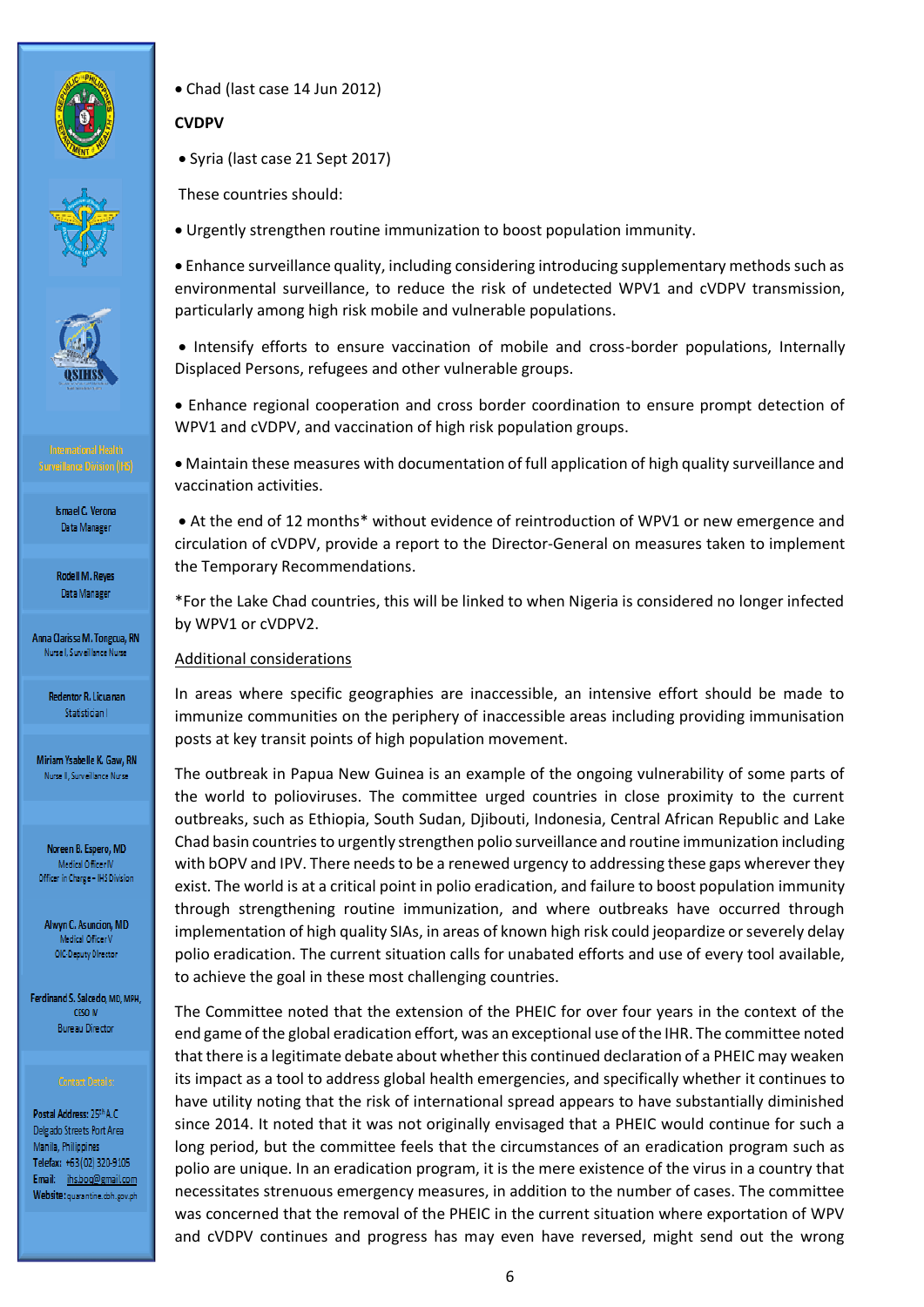



**Rodell M. Reyes** Data Manager

Anna Clarissa M. Tongcua, RN Nursel, Surveillance Nurse

> Redentor R. Licuanan Statistician I

Miriam Ysabelle K, Gaw, RN Nurse II, Surveillance Nurse

Noreen B. Espero, MD Medical Officer IV Officer in Charge - IHS Division

Alwyn C. Asuncion, MD Medical Officer V OIC-Deputy Director

Ferdinand S. Salcedo, MD, MPH, CESO IV **Bureau Director** 

Postal Address: 25th A.C. Delgado Streets Port Area Manila, Philippines Telefax: +63 (02) 320-9105 Email: ihs.boq@gmail.com Website: quarantine.doh.gov.ph Chad (last case 14 Jun 2012)

# **CVDPV**

• Syria (last case 21 Sept 2017)

These countries should:

Urgently strengthen routine immunization to boost population immunity.

 Enhance surveillance quality, including considering introducing supplementary methods such as environmental surveillance, to reduce the risk of undetected WPV1 and cVDPV transmission, particularly among high risk mobile and vulnerable populations.

• Intensify efforts to ensure vaccination of mobile and cross-border populations, Internally Displaced Persons, refugees and other vulnerable groups.

 Enhance regional cooperation and cross border coordination to ensure prompt detection of WPV1 and cVDPV, and vaccination of high risk population groups.

 Maintain these measures with documentation of full application of high quality surveillance and vaccination activities.

 At the end of 12 months\* without evidence of reintroduction of WPV1 or new emergence and circulation of cVDPV, provide a report to the Director-General on measures taken to implement the Temporary Recommendations.

\*For the Lake Chad countries, this will be linked to when Nigeria is considered no longer infected by WPV1 or cVDPV2.

# Additional considerations

In areas where specific geographies are inaccessible, an intensive effort should be made to immunize communities on the periphery of inaccessible areas including providing immunisation posts at key transit points of high population movement.

The outbreak in Papua New Guinea is an example of the ongoing vulnerability of some parts of the world to polioviruses. The committee urged countries in close proximity to the current outbreaks, such as Ethiopia, South Sudan, Djibouti, Indonesia, Central African Republic and Lake Chad basin countries to urgently strengthen polio surveillance and routine immunization including with bOPV and IPV. There needs to be a renewed urgency to addressing these gaps wherever they exist. The world is at a critical point in polio eradication, and failure to boost population immunity through strengthening routine immunization, and where outbreaks have occurred through implementation of high quality SIAs, in areas of known high risk could jeopardize or severely delay polio eradication. The current situation calls for unabated efforts and use of every tool available, to achieve the goal in these most challenging countries.

The Committee noted that the extension of the PHEIC for over four years in the context of the end game of the global eradication effort, was an exceptional use of the IHR. The committee noted that there is a legitimate debate about whether this continued declaration of a PHEIC may weaken its impact as a tool to address global health emergencies, and specifically whether it continues to have utility noting that the risk of international spread appears to have substantially diminished since 2014. It noted that it was not originally envisaged that a PHEIC would continue for such a long period, but the committee feels that the circumstances of an eradication program such as polio are unique. In an eradication program, it is the mere existence of the virus in a country that necessitates strenuous emergency measures, in addition to the number of cases. The committee was concerned that the removal of the PHEIC in the current situation where exportation of WPV and cVDPV continues and progress has may even have reversed, might send out the wrong